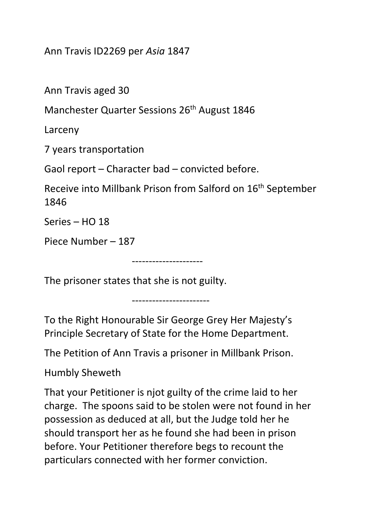Ann Travis ID2269 per *Asia* 1847

Ann Travis aged 30

Manchester Quarter Sessions 26<sup>th</sup> August 1846

Larceny

7 years transportation

Gaol report – Character bad – convicted before.

Receive into Millbank Prison from Salford on 16th September 1846

Series – HO 18

Piece Number – 187

The prisoner states that she is not guilty.

-----------------------

---------------------

To the Right Honourable Sir George Grey Her Majesty's Principle Secretary of State for the Home Department.

The Petition of Ann Travis a prisoner in Millbank Prison.

Humbly Sheweth

That your Petitioner is njot guilty of the crime laid to her charge. The spoons said to be stolen were not found in her possession as deduced at all, but the Judge told her he should transport her as he found she had been in prison before. Your Petitioner therefore begs to recount the particulars connected with her former conviction.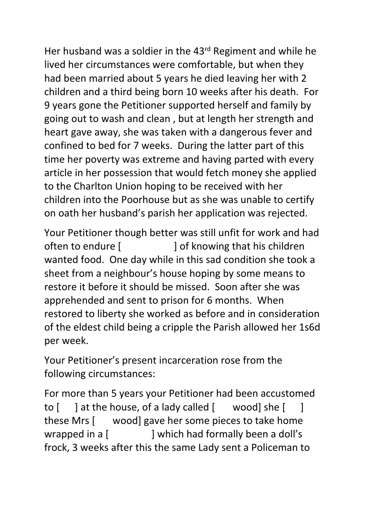Her husband was a soldier in the 43<sup>rd</sup> Regiment and while he lived her circumstances were comfortable, but when they had been married about 5 years he died leaving her with 2 children and a third being born 10 weeks after his death. For 9 years gone the Petitioner supported herself and family by going out to wash and clean , but at length her strength and heart gave away, she was taken with a dangerous fever and confined to bed for 7 weeks. During the latter part of this time her poverty was extreme and having parted with every article in her possession that would fetch money she applied to the Charlton Union hoping to be received with her children into the Poorhouse but as she was unable to certify on oath her husband's parish her application was rejected.

Your Petitioner though better was still unfit for work and had often to endure [ ] of knowing that his children wanted food. One day while in this sad condition she took a sheet from a neighbour's house hoping by some means to restore it before it should be missed. Soon after she was apprehended and sent to prison for 6 months. When restored to liberty she worked as before and in consideration of the eldest child being a cripple the Parish allowed her 1s6d per week.

Your Petitioner's present incarceration rose from the following circumstances:

For more than 5 years your Petitioner had been accustomed to [ ] at the house, of a lady called [ wood] she [ ] these Mrs [ wood] gave her some pieces to take home wrapped in a [ ] which had formally been a doll's frock, 3 weeks after this the same Lady sent a Policeman to